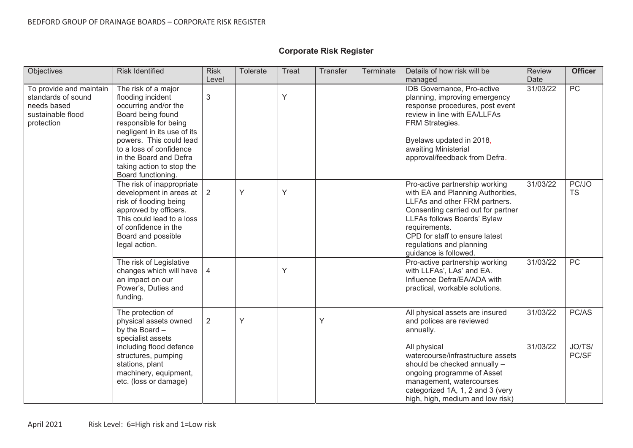| Objectives                                                                                      | <b>Risk Identified</b>                                                                                                                                                                                                                                                           | <b>Risk</b><br>Level | Tolerate | Treat | Transfer | <b>Terminate</b> | Details of how risk will be<br>managed                                                                                                                                                                                                                                            | <b>Review</b><br>Date | <b>Officer</b>           |
|-------------------------------------------------------------------------------------------------|----------------------------------------------------------------------------------------------------------------------------------------------------------------------------------------------------------------------------------------------------------------------------------|----------------------|----------|-------|----------|------------------|-----------------------------------------------------------------------------------------------------------------------------------------------------------------------------------------------------------------------------------------------------------------------------------|-----------------------|--------------------------|
| To provide and maintain<br>standards of sound<br>needs based<br>sustainable flood<br>protection | The risk of a major<br>flooding incident<br>occurring and/or the<br>Board being found<br>responsible for being<br>negligent in its use of its<br>powers. This could lead<br>to a loss of confidence<br>in the Board and Defra<br>taking action to stop the<br>Board functioning. | $\sqrt{3}$           |          | Y     |          |                  | IDB Governance, Pro-active<br>planning, improving emergency<br>response procedures, post event<br>review in line with EA/LLFAs<br>FRM Strategies.<br>Byelaws updated in 2018,<br>awaiting Ministerial<br>approval/feedback from Defra.                                            | 31/03/22              | PC                       |
|                                                                                                 | The risk of inappropriate<br>development in areas at  <br>risk of flooding being<br>approved by officers.<br>This could lead to a loss<br>of confidence in the<br>Board and possible<br>legal action.                                                                            | 2                    | Ý        | Y     |          |                  | Pro-active partnership working<br>with EA and Planning Authorities,<br>LLFAs and other FRM partners.<br>Consenting carried out for partner<br>LLFAs follows Boards' Bylaw<br>requirements.<br>CPD for staff to ensure latest<br>regulations and planning<br>guidance is followed. | 31/03/22              | PC/JO<br><b>TS</b>       |
|                                                                                                 | The risk of Legislative<br>changes which will have<br>an impact on our<br>Power's, Duties and<br>funding.                                                                                                                                                                        | 4                    |          | Y     |          |                  | Pro-active partnership working<br>with LLFAs', LAs' and EA.<br>Influence Defra/EA/ADA with<br>practical, workable solutions.                                                                                                                                                      | 31/03/22              | $\overline{PC}$          |
|                                                                                                 | The protection of<br>physical assets owned<br>by the Board -<br>specialist assets<br>including flood defence<br>structures, pumping<br>stations, plant<br>machinery, equipment,<br>etc. (loss or damage)                                                                         | $\overline{2}$       | Y        |       | Y        |                  | All physical assets are insured<br>and polices are reviewed<br>annually.<br>All physical<br>watercourse/infrastructure assets<br>should be checked annually -<br>ongoing programme of Asset<br>management, watercourses                                                           | 31/03/22<br>31/03/22  | PC/AS<br>JO/TS/<br>PC/SF |
|                                                                                                 |                                                                                                                                                                                                                                                                                  |                      |          |       |          |                  | categorized 1A, 1, 2 and 3 (very<br>high, high, medium and low risk)                                                                                                                                                                                                              |                       |                          |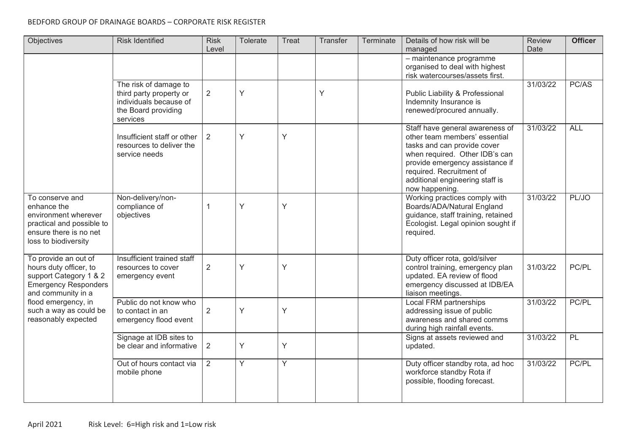## BEDFORD GROUP OF DRAINAGE BOARDS – CORPORATE RISK REGISTER

| Objectives                                                                                                                                                                                            | <b>Risk Identified</b>                                                                                        | <b>Risk</b><br>Level | Tolerate       | Treat          | Transfer | Terminate | Details of how risk will be<br>managed                                                                                                                                                                                                                | <b>Review</b><br>Date | <b>Officer</b> |
|-------------------------------------------------------------------------------------------------------------------------------------------------------------------------------------------------------|---------------------------------------------------------------------------------------------------------------|----------------------|----------------|----------------|----------|-----------|-------------------------------------------------------------------------------------------------------------------------------------------------------------------------------------------------------------------------------------------------------|-----------------------|----------------|
|                                                                                                                                                                                                       |                                                                                                               |                      |                |                |          |           | - maintenance programme<br>organised to deal with highest<br>risk watercourses/assets first.                                                                                                                                                          |                       |                |
|                                                                                                                                                                                                       | The risk of damage to<br>third party property or<br>individuals because of<br>the Board providing<br>services | $\overline{2}$       | Y              |                | Y        |           | Public Liability & Professional<br>Indemnity Insurance is<br>renewed/procured annually.                                                                                                                                                               | 31/03/22              | PC/AS          |
|                                                                                                                                                                                                       | Insufficient staff or other<br>resources to deliver the<br>service needs                                      | $\overline{2}$       | Y              | Y              |          |           | Staff have general awareness of<br>other team members' essential<br>tasks and can provide cover<br>when required. Other IDB's can<br>provide emergency assistance if<br>required. Recruitment of<br>additional engineering staff is<br>now happening. | 31/03/22              | <b>ALL</b>     |
| To conserve and<br>enhance the<br>environment wherever<br>practical and possible to<br>ensure there is no net<br>loss to biodiversity                                                                 | Non-delivery/non-<br>compliance of<br>objectives                                                              | $\mathbf{1}$         | Y              | Y              |          |           | Working practices comply with<br>Boards/ADA/Natural England<br>guidance, staff training, retained<br>Ecologist. Legal opinion sought if<br>required.                                                                                                  | 31/03/22              | PL/JO          |
| To provide an out of<br>hours duty officer, to<br>support Category 1 & 2<br><b>Emergency Responders</b><br>and community in a<br>flood emergency, in<br>such a way as could be<br>reasonably expected | Insufficient trained staff<br>resources to cover<br>emergency event                                           | $\overline{2}$       | Y              | Y              |          |           | Duty officer rota, gold/silver<br>control training, emergency plan<br>updated. EA review of flood<br>emergency discussed at IDB/EA<br>liaison meetings.                                                                                               | 31/03/22              | PC/PL          |
|                                                                                                                                                                                                       | Public do not know who<br>to contact in an<br>emergency flood event                                           | $\overline{2}$       | Y              | Y              |          |           | Local FRM partnerships<br>addressing issue of public<br>awareness and shared comms<br>during high rainfall events.                                                                                                                                    | 31/03/22              | PC/PL          |
|                                                                                                                                                                                                       | Signage at IDB sites to<br>be clear and informative                                                           | $\overline{2}$       | Y              | Y              |          |           | Signs at assets reviewed and<br>updated.                                                                                                                                                                                                              | 31/03/22              | PL             |
|                                                                                                                                                                                                       | Out of hours contact via<br>mobile phone                                                                      | $\overline{2}$       | $\overline{Y}$ | $\overline{Y}$ |          |           | Duty officer standby rota, ad hoc<br>workforce standby Rota if<br>possible, flooding forecast.                                                                                                                                                        | 31/03/22              | PC/PL          |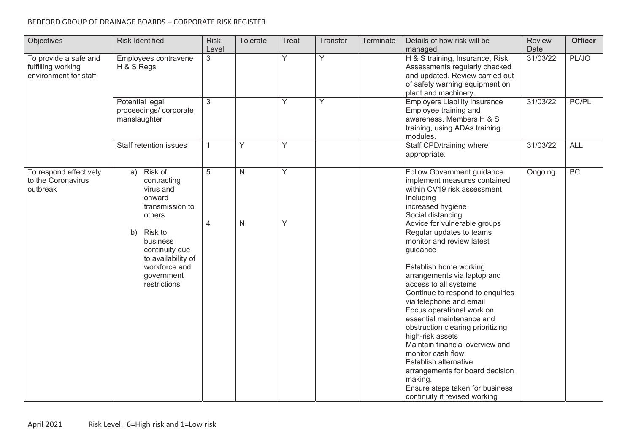## BEDFORD GROUP OF DRAINAGE BOARDS – CORPORATE RISK REGISTER

| Objectives                                                           | <b>Risk Identified</b>                                                                                                                                                                                      | <b>Risk</b><br>Level | Tolerate                     | Treat          | <b>Transfer</b> | Terminate | Details of how risk will be<br>managed                                                                                                                                                                                                                                                                                                                                                                                                                                                                                                                                                                                                                                                                                       | <b>Review</b><br>Date | <b>Officer</b> |
|----------------------------------------------------------------------|-------------------------------------------------------------------------------------------------------------------------------------------------------------------------------------------------------------|----------------------|------------------------------|----------------|-----------------|-----------|------------------------------------------------------------------------------------------------------------------------------------------------------------------------------------------------------------------------------------------------------------------------------------------------------------------------------------------------------------------------------------------------------------------------------------------------------------------------------------------------------------------------------------------------------------------------------------------------------------------------------------------------------------------------------------------------------------------------------|-----------------------|----------------|
| To provide a safe and<br>fulfilling working<br>environment for staff | Employees contravene<br>H & S Regs                                                                                                                                                                          | 3                    |                              | $\overline{Y}$ | $\overline{Y}$  |           | H & S training, Insurance, Risk<br>Assessments regularly checked<br>and updated. Review carried out<br>of safety warning equipment on<br>plant and machinery.                                                                                                                                                                                                                                                                                                                                                                                                                                                                                                                                                                | 31/03/22              | PL/JO          |
|                                                                      | Potential legal<br>proceedings/corporate<br>manslaughter                                                                                                                                                    | 3                    |                              | Y              | Y               |           | <b>Employers Liability insurance</b><br>Employee training and<br>awareness. Members H & S<br>training, using ADAs training<br>modules.                                                                                                                                                                                                                                                                                                                                                                                                                                                                                                                                                                                       | 31/03/22              | PC/PL          |
|                                                                      | Staff retention issues                                                                                                                                                                                      | $\mathbf{1}$         | Y                            | Y              |                 |           | Staff CPD/training where<br>appropriate.                                                                                                                                                                                                                                                                                                                                                                                                                                                                                                                                                                                                                                                                                     | 31/03/22              | <b>ALL</b>     |
| To respond effectively<br>to the Coronavirus<br>outbreak             | Risk of<br>a)<br>contracting<br>virus and<br>onward<br>transmission to<br>others<br><b>Risk to</b><br>b)<br>business<br>continuity due<br>to availability of<br>workforce and<br>government<br>restrictions | 5<br>4               | $\mathsf{N}$<br>$\mathsf{N}$ | Y<br>Y         |                 |           | Follow Government guidance<br>implement measures contained<br>within CV19 risk assessment<br>Including<br>increased hygiene<br>Social distancing<br>Advice for vulnerable groups<br>Regular updates to teams<br>monitor and review latest<br>guidance<br>Establish home working<br>arrangements via laptop and<br>access to all systems<br>Continue to respond to enquiries<br>via telephone and email<br>Focus operational work on<br>essential maintenance and<br>obstruction clearing prioritizing<br>high-risk assets<br>Maintain financial overview and<br>monitor cash flow<br>Establish alternative<br>arrangements for board decision<br>making.<br>Ensure steps taken for business<br>continuity if revised working | Ongoing               | PC             |